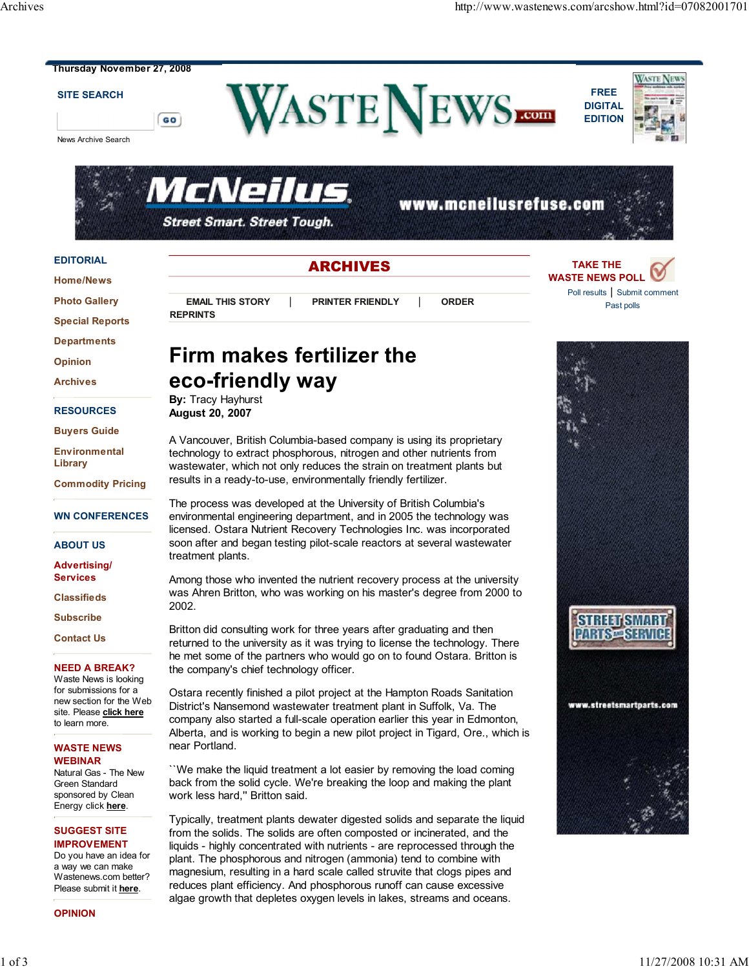**TAKE THE WASTE NEWS POLL**

> Poll results | Submit comment Past polls



GO

#### **SITE SEARCH**

News Archive Search







ARCHIVES

#### **EDITORIAL**

**Home/News**

**Photo Gallery**

**Special Reports**

**Departments**

**Opinion**

**Archives**

**RESOURCES**

**Buyers Guide**

**Environmental Library**

**Commodity Pricing**

#### **WN CONFERENCES**

**ABOUT US**

**Advertising/ Services**

**Classifieds**

**Subscribe**

**Contact Us**

#### **NEED A BREAK?**

Waste News is looking for submissions for a new section for the Web site. Please **click here** to learn more.

#### **WASTE NEWS WEBINAR**

Natural Gas - The New Green Standard sponsored by Clean Energy click **here**.

#### **SUGGEST SITE IMPROVEMENT**

Do you have an idea for a way we can make Wastenews.com better? Please submit it **here**.

**OPINION**

# **EMAIL THIS STORY** | **PRINTER FRIENDLY** | **ORDER**

# **Firm makes fertilizer the eco-friendly way**

#### **By:** Tracy Hayhurst **August 20, 2007**

**REPRINTS**

A Vancouver, British Columbia-based company is using its proprietary technology to extract phosphorous, nitrogen and other nutrients from wastewater, which not only reduces the strain on treatment plants but results in a ready-to-use, environmentally friendly fertilizer.

The process was developed at the University of British Columbia's environmental engineering department, and in 2005 the technology was licensed. Ostara Nutrient Recovery Technologies Inc. was incorporated soon after and began testing pilot-scale reactors at several wastewater treatment plants.

Among those who invented the nutrient recovery process at the university was Ahren Britton, who was working on his master's degree from 2000 to 2002.

Britton did consulting work for three years after graduating and then returned to the university as it was trying to license the technology. There he met some of the partners who would go on to found Ostara. Britton is the company's chief technology officer.

Ostara recently finished a pilot project at the Hampton Roads Sanitation District's Nansemond wastewater treatment plant in Suffolk, Va. The company also started a full-scale operation earlier this year in Edmonton, Alberta, and is working to begin a new pilot project in Tigard, Ore., which is near Portland.

``We make the liquid treatment a lot easier by removing the load coming back from the solid cycle. We're breaking the loop and making the plant work less hard,'' Britton said.

Typically, treatment plants dewater digested solids and separate the liquid from the solids. The solids are often composted or incinerated, and the liquids - highly concentrated with nutrients - are reprocessed through the plant. The phosphorous and nitrogen (ammonia) tend to combine with magnesium, resulting in a hard scale called struvite that clogs pipes and reduces plant efficiency. And phosphorous runoff can cause excessive algae growth that depletes oxygen levels in lakes, streams and oceans.

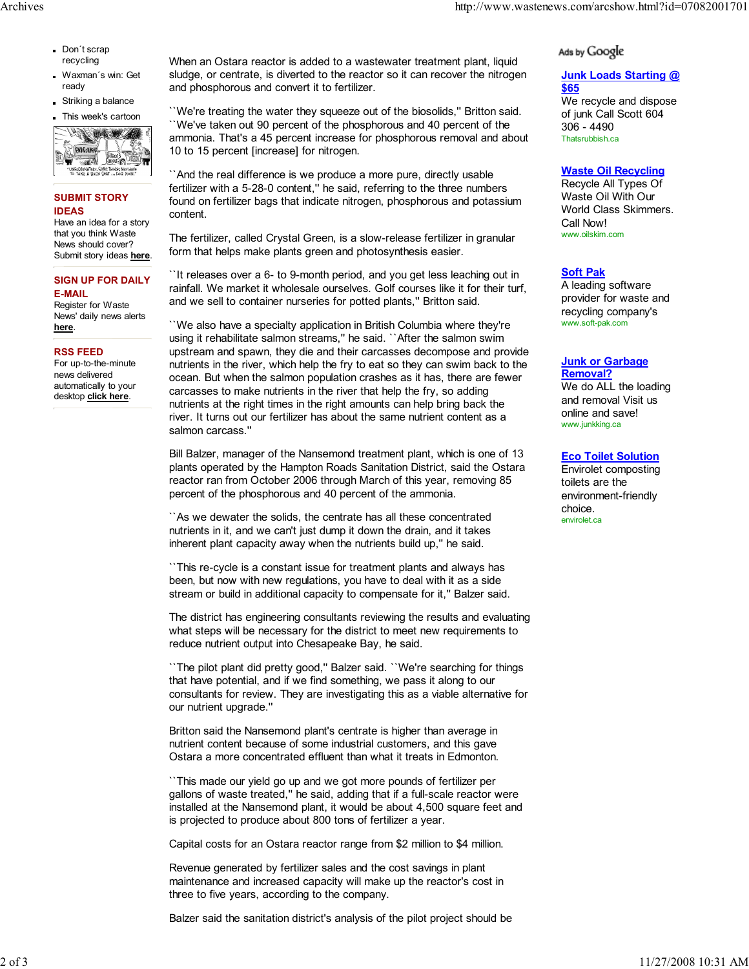- Don't scrap recycling
- Waxman´s win: Get ready
- Striking a balance

This week's cartoon



# **SUBMIT STORY IDEAS**

Have an idea for a story that you think Waste News should cover? Submit story ideas **here**.

#### **SIGN UP FOR DAILY E-MAIL**

Register for Waste News' daily news alerts **here**.

## **RSS FEED**

For up-to-the-minute news delivered automatically to your desktop **click here**.

When an Ostara reactor is added to a wastewater treatment plant, liquid sludge, or centrate, is diverted to the reactor so it can recover the nitrogen and phosphorous and convert it to fertilizer.

``We're treating the water they squeeze out of the biosolids,'' Britton said. ``We've taken out 90 percent of the phosphorous and 40 percent of the ammonia. That's a 45 percent increase for phosphorous removal and about 10 to 15 percent [increase] for nitrogen.

``And the real difference is we produce a more pure, directly usable fertilizer with a 5-28-0 content," he said, referring to the three numbers found on fertilizer bags that indicate nitrogen, phosphorous and potassium content.

The fertilizer, called Crystal Green, is a slow-release fertilizer in granular form that helps make plants green and photosynthesis easier.

``It releases over a 6- to 9-month period, and you get less leaching out in rainfall. We market it wholesale ourselves. Golf courses like it for their turf, and we sell to container nurseries for potted plants,'' Britton said.

``We also have a specialty application in British Columbia where they're using it rehabilitate salmon streams,'' he said. ``After the salmon swim upstream and spawn, they die and their carcasses decompose and provide nutrients in the river, which help the fry to eat so they can swim back to the ocean. But when the salmon population crashes as it has, there are fewer carcasses to make nutrients in the river that help the fry, so adding nutrients at the right times in the right amounts can help bring back the river. It turns out our fertilizer has about the same nutrient content as a salmon carcass.''

Bill Balzer, manager of the Nansemond treatment plant, which is one of 13 plants operated by the Hampton Roads Sanitation District, said the Ostara reactor ran from October 2006 through March of this year, removing 85 percent of the phosphorous and 40 percent of the ammonia.

``As we dewater the solids, the centrate has all these concentrated nutrients in it, and we can't just dump it down the drain, and it takes inherent plant capacity away when the nutrients build up," he said.

``This re-cycle is a constant issue for treatment plants and always has been, but now with new regulations, you have to deal with it as a side stream or build in additional capacity to compensate for it,'' Balzer said.

The district has engineering consultants reviewing the results and evaluating what steps will be necessary for the district to meet new requirements to reduce nutrient output into Chesapeake Bay, he said.

``The pilot plant did pretty good,'' Balzer said. ``We're searching for things that have potential, and if we find something, we pass it along to our consultants for review. They are investigating this as a viable alternative for our nutrient upgrade.''

Britton said the Nansemond plant's centrate is higher than average in nutrient content because of some industrial customers, and this gave Ostara a more concentrated effluent than what it treats in Edmonton.

``This made our yield go up and we got more pounds of fertilizer per gallons of waste treated,'' he said, adding that if a full-scale reactor were installed at the Nansemond plant, it would be about 4,500 square feet and is projected to produce about 800 tons of fertilizer a year.

Capital costs for an Ostara reactor range from \$2 million to \$4 million.

Revenue generated by fertilizer sales and the cost savings in plant maintenance and increased capacity will make up the reactor's cost in three to five years, according to the company.

Balzer said the sanitation district's analysis of the pilot project should be

# Ads by Google

#### **Junk Loads Starting @ \$65**

We recycle and dispose of junk Call Scott 604 306 - 4490 Thatsrubbish.ca

## **Waste Oil Recycling**

Recycle All Types Of Waste Oil With Our World Class Skimmers. Call Now! www.oilskim.com

# **Soft Pak**

A leading software provider for waste and recycling company's www.soft-pak.com

#### **Junk or Garbage Removal?**

We do ALL the loading and removal Visit us online and save! www.junkking.ca

### **Eco Toilet Solution**

Envirolet composting toilets are the environment-friendly choice. envirolet.ca